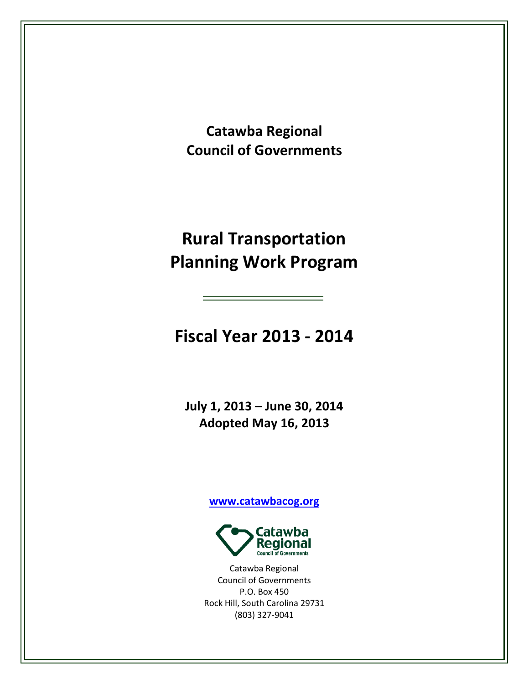**Catawba Regional Council of Governments**

# **Rural Transportation Planning Work Program**

**Fiscal Year 2013 - 2014**

**July 1, 2013 – June 30, 2014 Adopted May 16, 2013**

**[www.catawbacog.org](http://www.catawbacog.org/)**



Catawba Regional Council of Governments P.O. Box 450 Rock Hill, South Carolina 29731 (803) 327-9041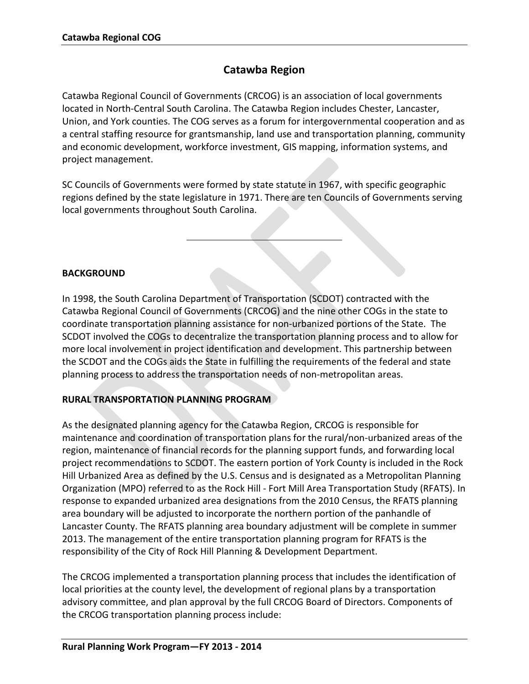## **Catawba Region**

Catawba Regional Council of Governments (CRCOG) is an association of local governments located in North-Central South Carolina. The Catawba Region includes Chester, Lancaster, Union, and York counties. The COG serves as a forum for intergovernmental cooperation and as a central staffing resource for grantsmanship, land use and transportation planning, community and economic development, workforce investment, GIS mapping, information systems, and project management.

SC Councils of Governments were formed by state statute in 1967, with specific geographic regions defined by the state legislature in 1971. There are ten Councils of Governments serving local governments throughout South Carolina.

## **BACKGROUND**

In 1998, the South Carolina Department of Transportation (SCDOT) contracted with the Catawba Regional Council of Governments (CRCOG) and the nine other COGs in the state to coordinate transportation planning assistance for non-urbanized portions of the State. The SCDOT involved the COGs to decentralize the transportation planning process and to allow for more local involvement in project identification and development. This partnership between the SCDOT and the COGs aids the State in fulfilling the requirements of the federal and state planning process to address the transportation needs of non-metropolitan areas.

## **RURAL TRANSPORTATION PLANNING PROGRAM**

As the designated planning agency for the Catawba Region, CRCOG is responsible for maintenance and coordination of transportation plans for the rural/non-urbanized areas of the region, maintenance of financial records for the planning support funds, and forwarding local project recommendations to SCDOT. The eastern portion of York County is included in the Rock Hill Urbanized Area as defined by the U.S. Census and is designated as a Metropolitan Planning Organization (MPO) referred to as the Rock Hill - Fort Mill Area Transportation Study (RFATS). In response to expanded urbanized area designations from the 2010 Census, the RFATS planning area boundary will be adjusted to incorporate the northern portion of the panhandle of Lancaster County. The RFATS planning area boundary adjustment will be complete in summer 2013. The management of the entire transportation planning program for RFATS is the responsibility of the City of Rock Hill Planning & Development Department.

The CRCOG implemented a transportation planning process that includes the identification of local priorities at the county level, the development of regional plans by a transportation advisory committee, and plan approval by the full CRCOG Board of Directors. Components of the CRCOG transportation planning process include: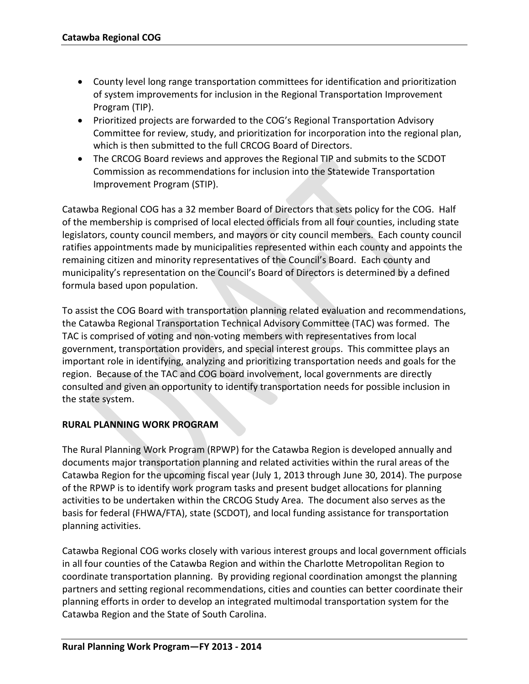- County level long range transportation committees for identification and prioritization of system improvements for inclusion in the Regional Transportation Improvement Program (TIP).
- Prioritized projects are forwarded to the COG's Regional Transportation Advisory Committee for review, study, and prioritization for incorporation into the regional plan, which is then submitted to the full CRCOG Board of Directors.
- The CRCOG Board reviews and approves the Regional TIP and submits to the SCDOT Commission as recommendations for inclusion into the Statewide Transportation Improvement Program (STIP).

Catawba Regional COG has a 32 member Board of Directors that sets policy for the COG. Half of the membership is comprised of local elected officials from all four counties, including state legislators, county council members, and mayors or city council members. Each county council ratifies appointments made by municipalities represented within each county and appoints the remaining citizen and minority representatives of the Council's Board. Each county and municipality's representation on the Council's Board of Directors is determined by a defined formula based upon population.

To assist the COG Board with transportation planning related evaluation and recommendations, the Catawba Regional Transportation Technical Advisory Committee (TAC) was formed. The TAC is comprised of voting and non-voting members with representatives from local government, transportation providers, and special interest groups. This committee plays an important role in identifying, analyzing and prioritizing transportation needs and goals for the region. Because of the TAC and COG board involvement, local governments are directly consulted and given an opportunity to identify transportation needs for possible inclusion in the state system.

## **RURAL PLANNING WORK PROGRAM**

The Rural Planning Work Program (RPWP) for the Catawba Region is developed annually and documents major transportation planning and related activities within the rural areas of the Catawba Region for the upcoming fiscal year (July 1, 2013 through June 30, 2014). The purpose of the RPWP is to identify work program tasks and present budget allocations for planning activities to be undertaken within the CRCOG Study Area. The document also serves as the basis for federal (FHWA/FTA), state (SCDOT), and local funding assistance for transportation planning activities.

Catawba Regional COG works closely with various interest groups and local government officials in all four counties of the Catawba Region and within the Charlotte Metropolitan Region to coordinate transportation planning. By providing regional coordination amongst the planning partners and setting regional recommendations, cities and counties can better coordinate their planning efforts in order to develop an integrated multimodal transportation system for the Catawba Region and the State of South Carolina.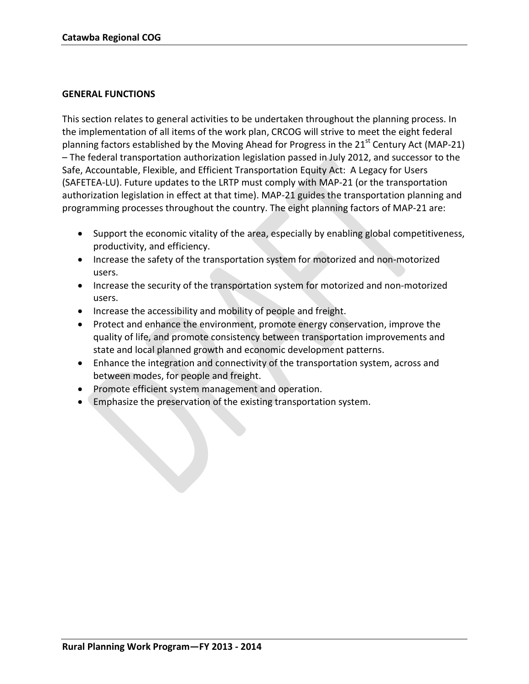#### **GENERAL FUNCTIONS**

This section relates to general activities to be undertaken throughout the planning process. In the implementation of all items of the work plan, CRCOG will strive to meet the eight federal planning factors established by the Moving Ahead for Progress in the  $21<sup>st</sup>$  Century Act (MAP-21) – The federal transportation authorization legislation passed in July 2012, and successor to the Safe, Accountable, Flexible, and Efficient Transportation Equity Act: A Legacy for Users (SAFETEA-LU). Future updates to the LRTP must comply with MAP-21 (or the transportation authorization legislation in effect at that time). MAP-21 guides the transportation planning and programming processes throughout the country. The eight planning factors of MAP-21 are:

- Support the economic vitality of the area, especially by enabling global competitiveness, productivity, and efficiency.
- Increase the safety of the transportation system for motorized and non-motorized users.
- Increase the security of the transportation system for motorized and non-motorized users.
- Increase the accessibility and mobility of people and freight.
- Protect and enhance the environment, promote energy conservation, improve the quality of life, and promote consistency between transportation improvements and state and local planned growth and economic development patterns.
- Enhance the integration and connectivity of the transportation system, across and between modes, for people and freight.
- Promote efficient system management and operation.
- Emphasize the preservation of the existing transportation system.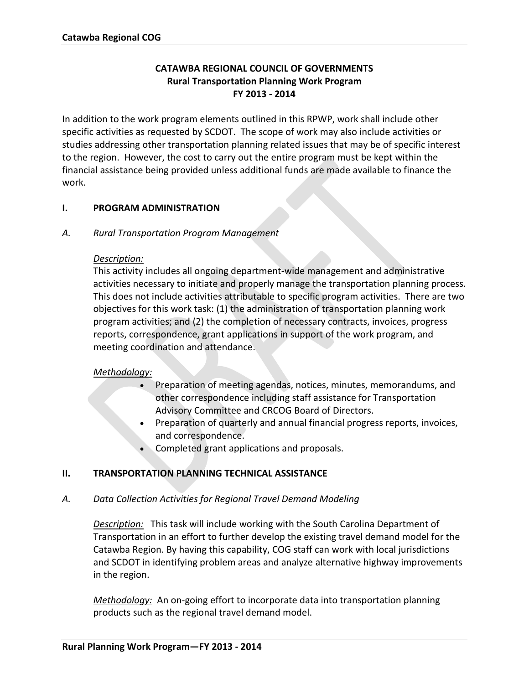## **CATAWBA REGIONAL COUNCIL OF GOVERNMENTS Rural Transportation Planning Work Program FY 2013 - 2014**

In addition to the work program elements outlined in this RPWP, work shall include other specific activities as requested by SCDOT. The scope of work may also include activities or studies addressing other transportation planning related issues that may be of specific interest to the region. However, the cost to carry out the entire program must be kept within the financial assistance being provided unless additional funds are made available to finance the work.

## **I. PROGRAM ADMINISTRATION**

#### *A. Rural Transportation Program Management*

#### *Description:*

This activity includes all ongoing department-wide management and administrative activities necessary to initiate and properly manage the transportation planning process. This does not include activities attributable to specific program activities. There are two objectives for this work task: (1) the administration of transportation planning work program activities; and (2) the completion of necessary contracts, invoices, progress reports, correspondence, grant applications in support of the work program, and meeting coordination and attendance.

#### *Methodology:*

- Preparation of meeting agendas, notices, minutes, memorandums, and other correspondence including staff assistance for Transportation Advisory Committee and CRCOG Board of Directors.
- Preparation of quarterly and annual financial progress reports, invoices, and correspondence.
- Completed grant applications and proposals.

## **II. TRANSPORTATION PLANNING TECHNICAL ASSISTANCE**

## *A. Data Collection Activities for Regional Travel Demand Modeling*

*Description:* This task will include working with the South Carolina Department of Transportation in an effort to further develop the existing travel demand model for the Catawba Region. By having this capability, COG staff can work with local jurisdictions and SCDOT in identifying problem areas and analyze alternative highway improvements in the region.

*Methodology:* An on-going effort to incorporate data into transportation planning products such as the regional travel demand model.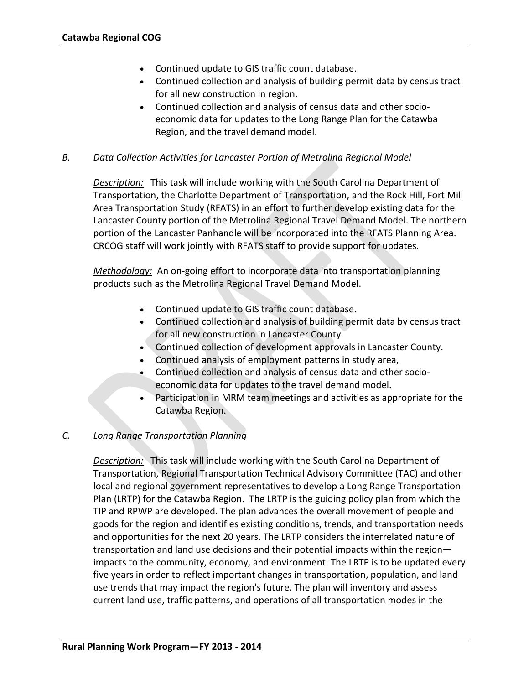- Continued update to GIS traffic count database.
- Continued collection and analysis of building permit data by census tract for all new construction in region.
- Continued collection and analysis of census data and other socioeconomic data for updates to the Long Range Plan for the Catawba Region, and the travel demand model.

#### *B. Data Collection Activities for Lancaster Portion of Metrolina Regional Model*

*Description:* This task will include working with the South Carolina Department of Transportation, the Charlotte Department of Transportation, and the Rock Hill, Fort Mill Area Transportation Study (RFATS) in an effort to further develop existing data for the Lancaster County portion of the Metrolina Regional Travel Demand Model. The northern portion of the Lancaster Panhandle will be incorporated into the RFATS Planning Area. CRCOG staff will work jointly with RFATS staff to provide support for updates.

*Methodology:* An on-going effort to incorporate data into transportation planning products such as the Metrolina Regional Travel Demand Model.

- Continued update to GIS traffic count database.
- Continued collection and analysis of building permit data by census tract for all new construction in Lancaster County.
- Continued collection of development approvals in Lancaster County.
- Continued analysis of employment patterns in study area,
- Continued collection and analysis of census data and other socioeconomic data for updates to the travel demand model.
- Participation in MRM team meetings and activities as appropriate for the Catawba Region.

#### *C. Long Range Transportation Planning*

*Description:* This task will include working with the South Carolina Department of Transportation, Regional Transportation Technical Advisory Committee (TAC) and other local and regional government representatives to develop a Long Range Transportation Plan (LRTP) for the Catawba Region. The LRTP is the guiding policy plan from which the TIP and RPWP are developed. The plan advances the overall movement of people and goods for the region and identifies existing conditions, trends, and transportation needs and opportunities for the next 20 years. The LRTP considers the interrelated nature of transportation and land use decisions and their potential impacts within the region impacts to the community, economy, and environment. The LRTP is to be updated every five years in order to reflect important changes in transportation, population, and land use trends that may impact the region's future. The plan will inventory and assess current land use, traffic patterns, and operations of all transportation modes in the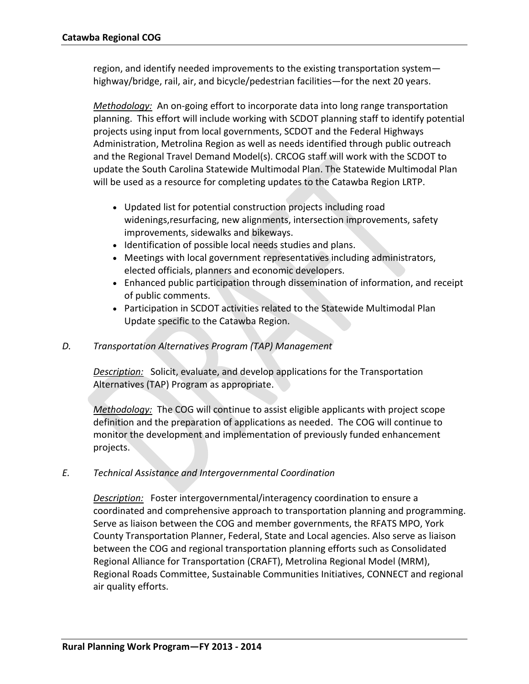region, and identify needed improvements to the existing transportation system highway/bridge, rail, air, and bicycle/pedestrian facilities—for the next 20 years.

*Methodology:* An on-going effort to incorporate data into long range transportation planning. This effort will include working with SCDOT planning staff to identify potential projects using input from local governments, SCDOT and the Federal Highways Administration, Metrolina Region as well as needs identified through public outreach and the Regional Travel Demand Model(s). CRCOG staff will work with the SCDOT to update the South Carolina Statewide Multimodal Plan. The Statewide Multimodal Plan will be used as a resource for completing updates to the Catawba Region LRTP.

- Updated list for potential construction projects including road widenings,resurfacing, new alignments, intersection improvements, safety improvements, sidewalks and bikeways.
- Identification of possible local needs studies and plans.
- Meetings with local government representatives including administrators, elected officials, planners and economic developers.
- Enhanced public participation through dissemination of information, and receipt of public comments.
- Participation in SCDOT activities related to the Statewide Multimodal Plan Update specific to the Catawba Region.

#### *D. Transportation Alternatives Program (TAP) Management*

*Description:* Solicit, evaluate, and develop applications for the Transportation Alternatives (TAP) Program as appropriate.

*Methodology:* The COG will continue to assist eligible applicants with project scope definition and the preparation of applications as needed. The COG will continue to monitor the development and implementation of previously funded enhancement projects.

#### *E. Technical Assistance and Intergovernmental Coordination*

*Description:* Foster intergovernmental/interagency coordination to ensure a coordinated and comprehensive approach to transportation planning and programming. Serve as liaison between the COG and member governments, the RFATS MPO, York County Transportation Planner, Federal, State and Local agencies. Also serve as liaison between the COG and regional transportation planning efforts such as Consolidated Regional Alliance for Transportation (CRAFT), Metrolina Regional Model (MRM), Regional Roads Committee, Sustainable Communities Initiatives, CONNECT and regional air quality efforts.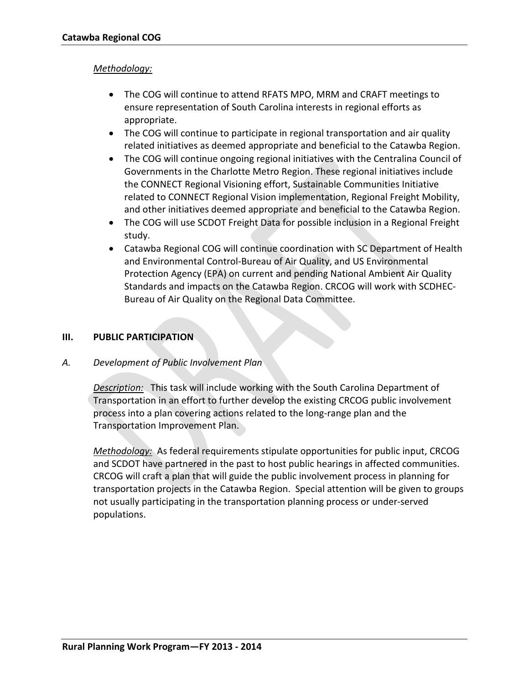#### *Methodology:*

- The COG will continue to attend RFATS MPO, MRM and CRAFT meetings to ensure representation of South Carolina interests in regional efforts as appropriate.
- The COG will continue to participate in regional transportation and air quality related initiatives as deemed appropriate and beneficial to the Catawba Region.
- The COG will continue ongoing regional initiatives with the Centralina Council of Governments in the Charlotte Metro Region. These regional initiatives include the CONNECT Regional Visioning effort, Sustainable Communities Initiative related to CONNECT Regional Vision implementation, Regional Freight Mobility, and other initiatives deemed appropriate and beneficial to the Catawba Region.
- The COG will use SCDOT Freight Data for possible inclusion in a Regional Freight study.
- Catawba Regional COG will continue coordination with SC Department of Health and Environmental Control-Bureau of Air Quality, and US Environmental Protection Agency (EPA) on current and pending National Ambient Air Quality Standards and impacts on the Catawba Region. CRCOG will work with SCDHEC-Bureau of Air Quality on the Regional Data Committee.

#### **III. PUBLIC PARTICIPATION**

#### *A. Development of Public Involvement Plan*

*Description:* This task will include working with the South Carolina Department of Transportation in an effort to further develop the existing CRCOG public involvement process into a plan covering actions related to the long-range plan and the Transportation Improvement Plan.

*Methodology:* As federal requirements stipulate opportunities for public input, CRCOG and SCDOT have partnered in the past to host public hearings in affected communities. CRCOG will craft a plan that will guide the public involvement process in planning for transportation projects in the Catawba Region. Special attention will be given to groups not usually participating in the transportation planning process or under-served populations.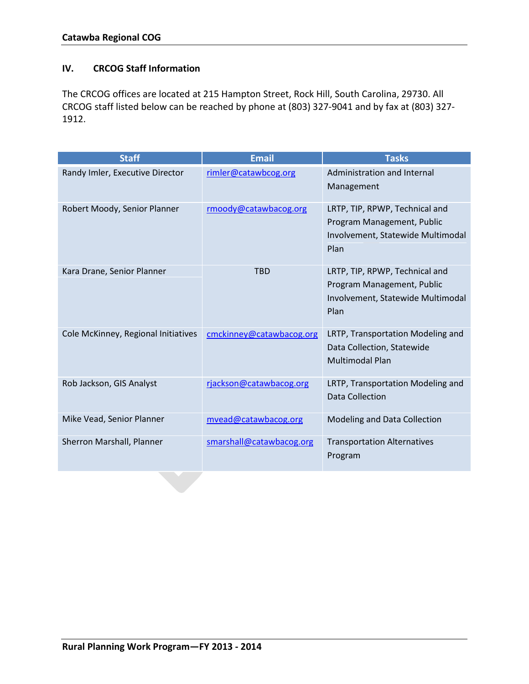## **IV. CRCOG Staff Information**

The CRCOG offices are located at 215 Hampton Street, Rock Hill, South Carolina, 29730. All CRCOG staff listed below can be reached by phone at (803) 327-9041 and by fax at (803) 327- 1912.

| <b>Staff</b>                        | <b>Email</b>             | <b>Tasks</b>                                                                                              |
|-------------------------------------|--------------------------|-----------------------------------------------------------------------------------------------------------|
| Randy Imler, Executive Director     | rimler@catawbcog.org     | Administration and Internal<br>Management                                                                 |
| Robert Moody, Senior Planner        | rmoody@catawbacog.org    | LRTP, TIP, RPWP, Technical and<br>Program Management, Public<br>Involvement, Statewide Multimodal<br>Plan |
| Kara Drane, Senior Planner          | <b>TBD</b>               | LRTP, TIP, RPWP, Technical and<br>Program Management, Public<br>Involvement, Statewide Multimodal<br>Plan |
| Cole McKinney, Regional Initiatives | cmckinney@catawbacog.org | LRTP, Transportation Modeling and<br>Data Collection, Statewide<br><b>Multimodal Plan</b>                 |
| Rob Jackson, GIS Analyst            | rjackson@catawbacog.org  | LRTP, Transportation Modeling and<br><b>Data Collection</b>                                               |
| Mike Vead, Senior Planner           | mvead@catawbacog.org     | Modeling and Data Collection                                                                              |
| Sherron Marshall, Planner           | smarshall@catawbacog.org | <b>Transportation Alternatives</b><br>Program                                                             |